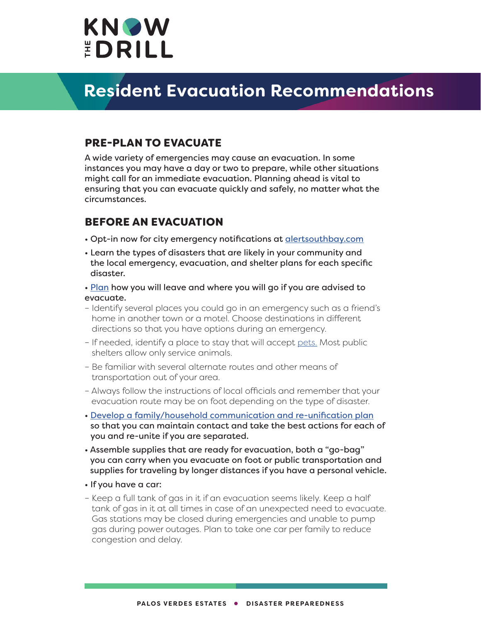

#### PRE-PLAN TO EVACUATE

A wide variety of emergencies may cause an evacuation. In some instances you may have a day or two to prepare, while other situations might call for an immediate evacuation. Planning ahead is vital to ensuring that you can evacuate quickly and safely, no matter what the circumstances.

### BEFORE AN EVACUATION

- Opt-in now for city emergency notifications at [alertsouthbay.com](http://alertsouthbay.com)
- Learn the types of disasters that are likely in your community and the local emergency, evacuation, and shelter plans for each specific disaster.
- • [Plan](https://www.ready.gov/plan) how you will leave and where you will go if you are advised to evacuate.
- Identify several places you could go in an emergency such as a friend's home in another town or a motel. Choose destinations in different directions so that you have options during an emergency.
- If needed, identify a place to stay that will accept [pets.](https://www.ready.gov/pets) Most public shelters allow only service animals.
- Be familiar with several alternate routes and other means of transportation out of your area.
- Always follow the instructions of local officials and remember that your evacuation route may be on foot depending on the type of disaster.
- • [Develop a family/household communication and re-unification plan](https://www.ready.gov/plan) so that you can maintain contact and take the best actions for each of you and re-unite if you are separated.
- Assemble supplies that are ready for evacuation, both a "go-bag" you can carry when you evacuate on foot or public transportation and supplies for traveling by longer distances if you have a personal vehicle.
- If you have a car:
- Keep a full tank of gas in it if an evacuation seems likely. Keep a half tank of gas in it at all times in case of an unexpected need to evacuate. Gas stations may be closed during emergencies and unable to pump gas during power outages. Plan to take one car per family to reduce congestion and delay.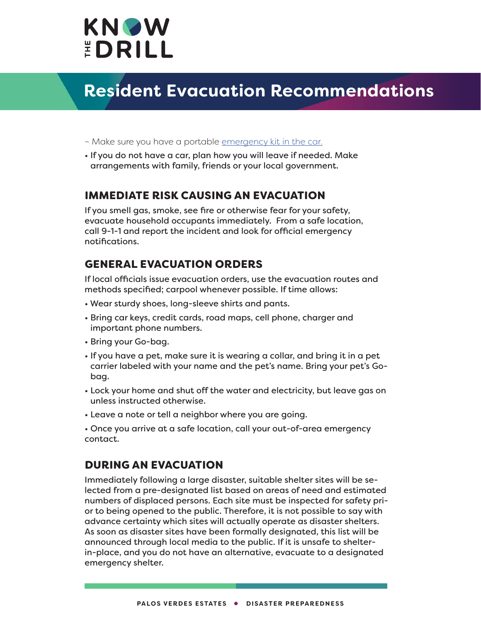

- Make sure you have a portable [emergency kit in the car.](https://www.ready.gov/car)
- If you do not have a car, plan how you will leave if needed. Make arrangements with family, friends or your local government.

#### IMMEDIATE RISK CAUSING AN EVACUATION

If you smell gas, smoke, see fire or otherwise fear for your safety, evacuate household occupants immediately. From a safe location, call 9-1-1 and report the incident and look for official emergency notifications.

### GENERAL EVACUATION ORDERS

If local officials issue evacuation orders, use the evacuation routes and methods specified; carpool whenever possible. If time allows:

- Wear sturdy shoes, long-sleeve shirts and pants.
- Bring car keys, credit cards, road maps, cell phone, charger and important phone numbers.
- Bring your Go-bag.
- If you have a pet, make sure it is wearing a collar, and bring it in a pet carrier labeled with your name and the pet's name. Bring your pet's Gobag.
- Lock your home and shut off the water and electricity, but leave gas on unless instructed otherwise.
- Leave a note or tell a neighbor where you are going.

• Once you arrive at a safe location, call your out-of-area emergency contact.

### DURING AN EVACUATION

Immediately following a large disaster, suitable shelter sites will be selected from a pre-designated list based on areas of need and estimated numbers of displaced persons. Each site must be inspected for safety prior to being opened to the public. Therefore, it is not possible to say with advance certainty which sites will actually operate as disaster shelters. As soon as disaster sites have been formally designated, this list will be announced through local media to the public. If it is unsafe to shelterin-place, and you do not have an alternative, evacuate to a designated emergency shelter.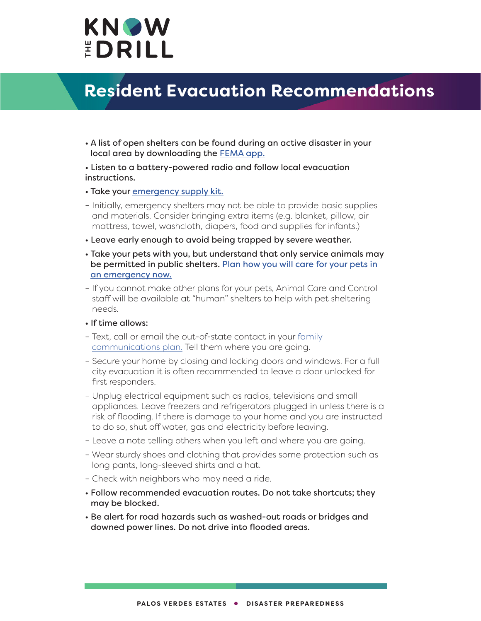

- A list of open shelters can be found during an active disaster in your local area by downloading the [FEMA app](https://www.fema.gov/about/news-multimedia/mobile-app-text-messages).
- Listen to a battery-powered radio and follow local evacuation instructions.
- Take your [emergency supply kit.](https://www.ready.gov/kit)
- Initially, emergency shelters may not be able to provide basic supplies and materials. Consider bringing extra items (e.g. blanket, pillow, air mattress, towel, washcloth, diapers, food and supplies for infants.)
- Leave early enough to avoid being trapped by severe weather.
- Take your pets with you, but understand that only service animals may be permitted in public shelters. [Plan how you will care for your pets in](https://www.ready.gov/pets)  [an emergency now.](https://www.ready.gov/pets)
- If you cannot make other plans for your pets, Animal Care and Control staff will be available at "human" shelters to help with pet sheltering needs.
- If time allows:
- Text, call or email the out-of-state contact in your [family](https://www.ready.gov/plan)  [communications plan.](https://www.ready.gov/plan) Tell them where you are going.
- Secure your home by closing and locking doors and windows. For a full city evacuation it is often recommended to leave a door unlocked for first responders.
- Unplug electrical equipment such as radios, televisions and small appliances. Leave freezers and refrigerators plugged in unless there is a risk of flooding. If there is damage to your home and you are instructed to do so, shut off water, gas and electricity before leaving.
- Leave a note telling others when you left and where you are going.
- Wear sturdy shoes and clothing that provides some protection such as long pants, long-sleeved shirts and a hat.
- Check with neighbors who may need a ride.
- Follow recommended evacuation routes. Do not take shortcuts; they may be blocked.
- Be alert for road hazards such as washed-out roads or bridges and downed power lines. Do not drive into flooded areas.